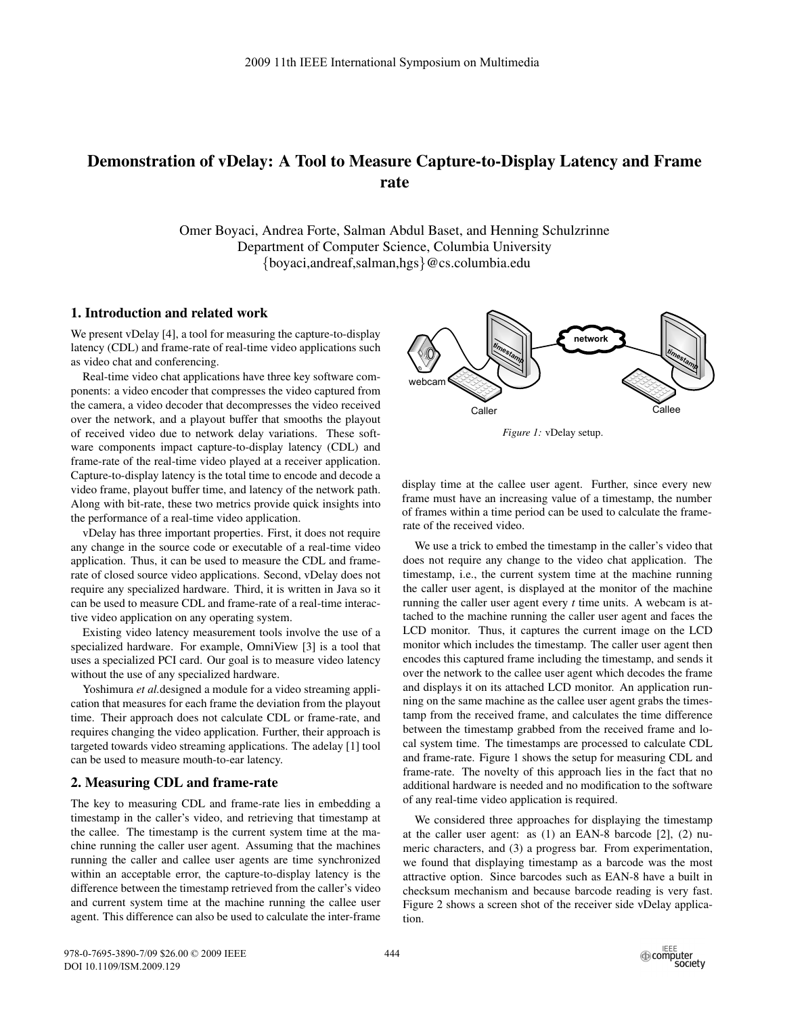# Demonstration of vDelay: A Tool to Measure Capture-to-Display Latency and Frame rate

Omer Boyaci, Andrea Forte, Salman Abdul Baset, and Henning Schulzrinne Department of Computer Science, Columbia University {boyaci,andreaf,salman,hgs}@cs.columbia.edu

### 1. Introduction and related work

We present vDelay [4], a tool for measuring the capture-to-display latency (CDL) and frame-rate of real-time video applications such as video chat and conferencing.

Real-time video chat applications have three key software components: a video encoder that compresses the video captured from the camera, a video decoder that decompresses the video received over the network, and a playout buffer that smooths the playout of received video due to network delay variations. These software components impact capture-to-display latency (CDL) and frame-rate of the real-time video played at a receiver application. Capture-to-display latency is the total time to encode and decode a video frame, playout buffer time, and latency of the network path. Along with bit-rate, these two metrics provide quick insights into the performance of a real-time video application.

vDelay has three important properties. First, it does not require any change in the source code or executable of a real-time video application. Thus, it can be used to measure the CDL and framerate of closed source video applications. Second, vDelay does not require any specialized hardware. Third, it is written in Java so it can be used to measure CDL and frame-rate of a real-time interactive video application on any operating system.

Existing video latency measurement tools involve the use of a specialized hardware. For example, OmniView [3] is a tool that uses a specialized PCI card. Our goal is to measure video latency without the use of any specialized hardware.

Yoshimura *et al.* designed a module for a video streaming application that measures for each frame the deviation from the playout time. Their approach does not calculate CDL or frame-rate, and requires changing the video application. Further, their approach is targeted towards video streaming applications. The adelay [1] tool can be used to measure mouth-to-ear latency.

## 2. Measuring CDL and frame-rate

The key to measuring CDL and frame-rate lies in embedding a timestamp in the caller's video, and retrieving that timestamp at the callee. The timestamp is the current system time at the machine running the caller user agent. Assuming that the machines running the caller and callee user agents are time synchronized within an acceptable error, the capture-to-display latency is the difference between the timestamp retrieved from the caller's video and current system time at the machine running the callee user agent. This difference can also be used to calculate the inter-frame



*Figure 1:* vDelay setup.

display time at the callee user agent. Further, since every new frame must have an increasing value of a timestamp, the number of frames within a time period can be used to calculate the framerate of the received video.

We use a trick to embed the timestamp in the caller's video that does not require any change to the video chat application. The timestamp, i.e., the current system time at the machine running the caller user agent, is displayed at the monitor of the machine running the caller user agent every *t* time units. A webcam is attached to the machine running the caller user agent and faces the LCD monitor. Thus, it captures the current image on the LCD monitor which includes the timestamp. The caller user agent then encodes this captured frame including the timestamp, and sends it over the network to the callee user agent which decodes the frame and displays it on its attached LCD monitor. An application running on the same machine as the callee user agent grabs the timestamp from the received frame, and calculates the time difference between the timestamp grabbed from the received frame and local system time. The timestamps are processed to calculate CDL and frame-rate. Figure 1 shows the setup for measuring CDL and frame-rate. The novelty of this approach lies in the fact that no additional hardware is needed and no modification to the software of any real-time video application is required.

We considered three approaches for displaying the timestamp at the caller user agent: as (1) an EAN-8 barcode [2], (2) numeric characters, and (3) a progress bar. From experimentation, we found that displaying timestamp as a barcode was the most attractive option. Since barcodes such as EAN-8 have a built in checksum mechanism and because barcode reading is very fast. Figure 2 shows a screen shot of the receiver side vDelay application.